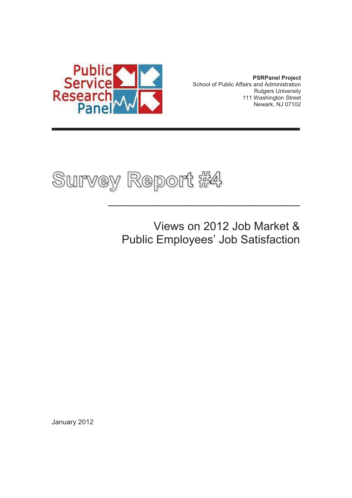

**PSRPanel Project**  School of Public Affairs and Administration Rutgers University 111 Washington Street Newark, NJ 07102



 Views on 2012 Job Market & Public Employees' Job Satisfaction

 $\overline{\phantom{a}}$  , and the contract of the contract of the contract of the contract of the contract of the contract of the contract of the contract of the contract of the contract of the contract of the contract of the contrac

January 2012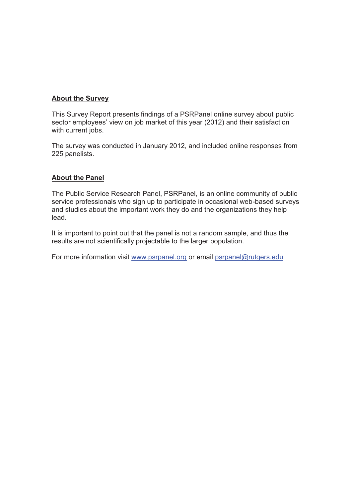#### **About the Survey**

This Survey Report presents findings of a PSRPanel online survey about public sector employees' view on job market of this year (2012) and their satisfaction with current jobs.

The survey was conducted in January 2012, and included online responses from 225 panelists.

#### **About the Panel**

The Public Service Research Panel, PSRPanel, is an online community of public service professionals who sign up to participate in occasional web-based surveys and studies about the important work they do and the organizations they help lead.

It is important to point out that the panel is not a random sample, and thus the results are not scientifically projectable to the larger population.

For more information visit www.psrpanel.org or email psrpanel@rutgers.edu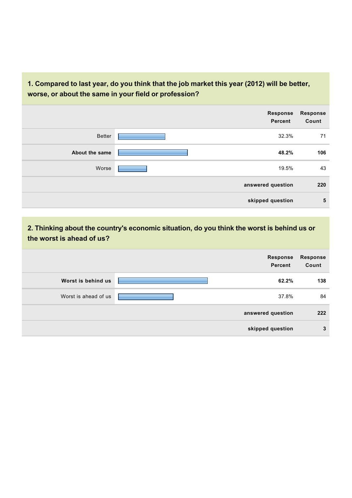#### **1. Compared to last year, do you think that the job market this year (2012) will be better, worse, or about the same in your field or profession?**

|                | <b>Response</b><br>Percent | <b>Response</b><br>Count |
|----------------|----------------------------|--------------------------|
| <b>Better</b>  | 32.3%                      | 71                       |
| About the same | 48.2%                      | 106                      |
| Worse          | 19.5%                      | 43                       |
|                | answered question          | 220                      |
|                | skipped question           | 5                        |

**2. Thinking about the country's economic situation, do you think the worst is behind us or the worst is ahead of us?**

|                      | Response<br>Percent | <b>Response</b><br>Count |
|----------------------|---------------------|--------------------------|
| Worst is behind us   | 62.2%               | 138                      |
| Worst is ahead of us | 37.8%               | 84                       |
|                      | answered question   | 222                      |
|                      | skipped question    | 3                        |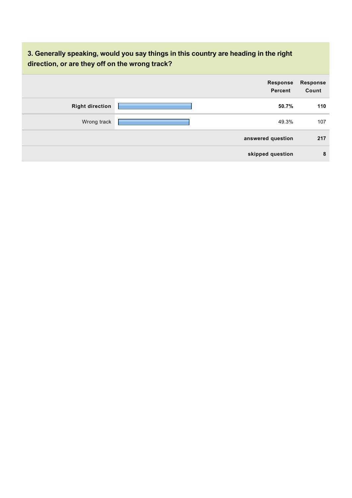## **3. Generally speaking, would you say things in this country are heading in the right direction, or are they off on the wrong track?**

|                        | Response<br><b>Percent</b> | <b>Response</b><br>Count |
|------------------------|----------------------------|--------------------------|
| <b>Right direction</b> | 50.7%                      | 110                      |
| Wrong track            | 49.3%                      | 107                      |
|                        | answered question          | 217                      |
|                        | skipped question           | 8                        |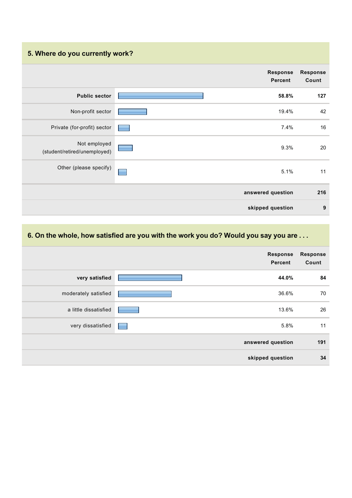# **5. Where do you currently work?**

|                                              | Response<br><b>Percent</b> | Response<br>Count |
|----------------------------------------------|----------------------------|-------------------|
| <b>Public sector</b>                         | 58.8%                      | 127               |
| Non-profit sector                            | 19.4%                      | 42                |
| Private (for-profit) sector                  | 7.4%                       | 16                |
| Not employed<br>(student/retired/unemployed) | 9.3%                       | 20                |
| Other (please specify)                       | 5.1%                       | 11                |
|                                              | answered question          | 216               |
|                                              | skipped question           | 9                 |

### **6. On the whole, how satisfied are you with the work you do? Would you say you are . . .**

|                       | Response<br><b>Percent</b> | Response<br>Count |
|-----------------------|----------------------------|-------------------|
| very satisfied        | 44.0%                      | 84                |
| moderately satisfied  | 36.6%                      | 70                |
| a little dissatisfied | 13.6%                      | 26                |
| very dissatisfied     | 5.8%<br>−                  | 11                |
|                       | answered question          | 191               |
|                       | skipped question           | 34                |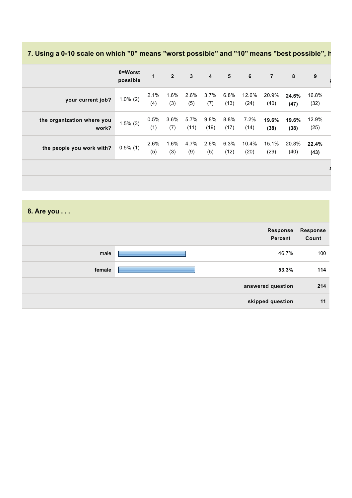# **7. Using a 0-10 scale on which "0" means "worst possible" and "10" means "best possible", h**

|                                     | 0=Worst<br>possible | 1           | $\overline{2}$ | $\mathbf{3}$ | $\overline{4}$ | $5\phantom{.0}$ | 6             | $\overline{7}$ | 8             | 9             |
|-------------------------------------|---------------------|-------------|----------------|--------------|----------------|-----------------|---------------|----------------|---------------|---------------|
| your current job?                   | $1.0\%$ (2)         | 2.1%<br>(4) | 1.6%<br>(3)    | 2.6%<br>(5)  | 3.7%<br>(7)    | 6.8%<br>(13)    | 12.6%<br>(24) | 20.9%<br>(40)  | 24.6%<br>(47) | 16.8%<br>(32) |
| the organization where you<br>work? | $1.5\%$ (3)         | 0.5%<br>(1) | 3.6%<br>(7)    | 5.7%<br>(11) | 9.8%<br>(19)   | 8.8%<br>(17)    | 7.2%<br>(14)  | 19.6%<br>(38)  | 19.6%<br>(38) | 12.9%<br>(25) |
| the people you work with?           | $0.5\%$ (1)         | 2.6%<br>(5) | 1.6%<br>(3)    | 4.7%<br>(9)  | 2.6%<br>(5)    | 6.3%<br>(12)    | 10.4%<br>(20) | 15.1%<br>(29)  | 20.8%<br>(40) | 22.4%<br>(43) |
|                                     |                     |             |                |              |                |                 |               |                |               |               |

**8. Are you . . .**

|        | Response<br>Percent | <b>Response</b><br>Count |
|--------|---------------------|--------------------------|
| male   | 46.7%               | 100                      |
| female | 53.3%               | 114                      |
|        | answered question   | 214                      |
|        | skipped question    | 11                       |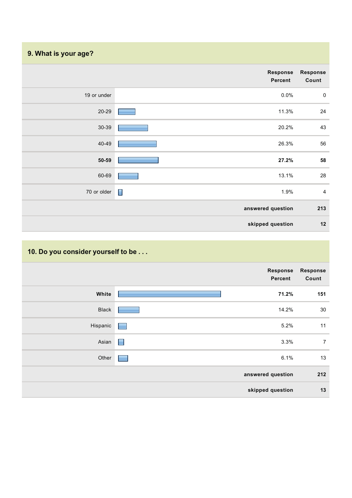# **9. What is your age?**

|             | Response<br>Percent | <b>Response</b><br>Count |
|-------------|---------------------|--------------------------|
| 19 or under | 0.0%                | $\mathbf 0$              |
| $20 - 29$   | 11.3%               | 24                       |
| $30 - 39$   | 20.2%               | 43                       |
| 40-49       | 26.3%               | 56                       |
| $50 - 59$   | 27.2%               | 58                       |
| 60-69       | 13.1%               | 28                       |
| 70 or older | E<br>1.9%           | $\overline{4}$           |
|             | answered question   | 213                      |
|             | skipped question    | 12                       |

# **10. Do you consider yourself to be . . .**

|              |                 | <b>Response</b><br>Percent | Response<br>Count |
|--------------|-----------------|----------------------------|-------------------|
| White        |                 | 71.2%                      | 151               |
| <b>Black</b> |                 | 14.2%                      | 30                |
| Hispanic     | e en la partie  | 5.2%                       | 11                |
| Asian        | $\Box$          | 3.3%                       | $\overline{7}$    |
| Other        | <b>Contract</b> | 6.1%                       | 13                |
|              |                 | answered question          | 212               |
|              |                 | skipped question           | 13                |